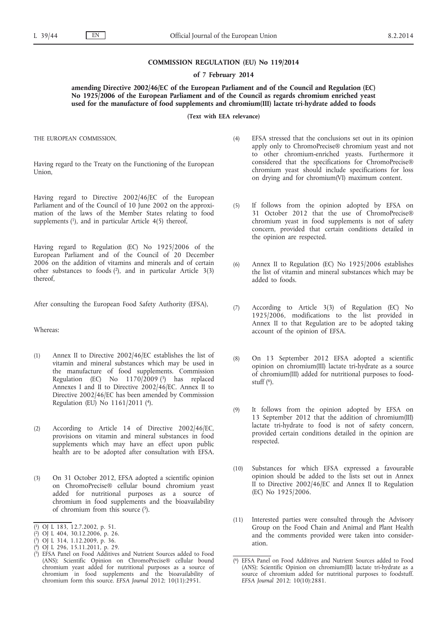## **COMMISSION REGULATION (EU) No 119/2014**

## **of 7 February 2014**

**amending Directive 2002/46/EC of the European Parliament and of the Council and Regulation (EC) No 1925/2006 of the European Parliament and of the Council as regards chromium enriched yeast used for the manufacture of food supplements and chromium(III) lactate tri-hydrate added to foods**

**(Text with EEA relevance)**

THE EUROPEAN COMMISSION,

Having regard to the Treaty on the Functioning of the European Union,

Having regard to Directive 2002/46/EC of the European Parliament and of the Council of 10 June 2002 on the approximation of the laws of the Member States relating to food supplements  $(1)$ , and in particular Article  $4(5)$  thereof,

Having regard to Regulation (EC) No 1925/2006 of the European Parliament and of the Council of 20 December 2006 on the addition of vitamins and minerals and of certain other substances to foods  $(2)$ , and in particular Article  $3(3)$ thereof,

After consulting the European Food Safety Authority (EFSA),

Whereas:

- (1) Annex II to Directive 2002/46/EC establishes the list of vitamin and mineral substances which may be used in the manufacture of food supplements. Commission Regulation (EC) No  $1170/2009$  (3) has replaced Annexes I and II to Directive 2002/46/EC. Annex II to Directive 2002/46/EC has been amended by Commission Regulation (EU) No 1161/2011 (4).
- (2) According to Article 14 of Directive 2002/46/EC, provisions on vitamin and mineral substances in food supplements which may have an effect upon public health are to be adopted after consultation with EFSA.
- (3) On 31 October 2012, EFSA adopted a scientific opinion on ChromoPrecise® cellular bound chromium yeast added for nutritional purposes as a source of chromium in food supplements and the bioavailability of chromium from this source  $(5)$ .
- (4) EFSA stressed that the conclusions set out in its opinion apply only to ChromoPrecise® chromium yeast and not to other chromium-enriched yeasts. Furthermore it considered that the specifications for ChromoPrecise® chromium yeast should include specifications for loss on drying and for chromium(VI) maximum content.
- (5) If follows from the opinion adopted by EFSA on 31 October 2012 that the use of ChromoPrecise® chromium yeast in food supplements is not of safety concern, provided that certain conditions detailed in the opinion are respected.
- (6) Annex II to Regulation (EC) No 1925/2006 establishes the list of vitamin and mineral substances which may be added to foods.
- (7) According to Article 3(3) of Regulation (EC) No 1925/2006, modifications to the list provided in Annex II to that Regulation are to be adopted taking account of the opinion of EFSA.
- (8) On 13 September 2012 EFSA adopted a scientific opinion on chromium(III) lactate tri-hydrate as a source of chromium(III) added for nutritional purposes to foodstuff  $(6)$ .
- (9) It follows from the opinion adopted by EFSA on 13 September 2012 that the addition of chromium(III) lactate tri-hydrate to food is not of safety concern, provided certain conditions detailed in the opinion are respected.
- (10) Substances for which EFSA expressed a favourable opinion should be added to the lists set out in Annex II to Directive 2002/46/EC and Annex II to Regulation (EC) No 1925/2006.
- (11) Interested parties were consulted through the Advisory Group on the Food Chain and Animal and Plant Health and the comments provided were taken into consideration.

<sup>(</sup> 1) OJ L 183, 12.7.2002, p. 51.

<sup>(</sup> 2) OJ L 404, 30.12.2006, p. 26.

<sup>(</sup> 3) OJ L 314, 1.12.2009, p. 36.

<sup>(</sup> 4) OJ L 296, 15.11.2011, p. 29.

<sup>(</sup> 5) EFSA Panel on Food Additives and Nutrient Sources added to Food (ANS); Scientific Opinion on ChromoPrecise® cellular bound chromium yeast added for nutritional purposes as a source of chromium in food supplements and the bioavailability of chromium form this source. *EFSA Journal* 2012; 10(11):2951.

<sup>(</sup> 6) EFSA Panel on Food Additives and Nutrient Sources added to Food (ANS); Scientific Opinion on chromium(III) lactate tri-hydrate as a source of chromium added for nutritional purposes to foodstuff. *EFSA Journal* 2012; 10(10):2881.